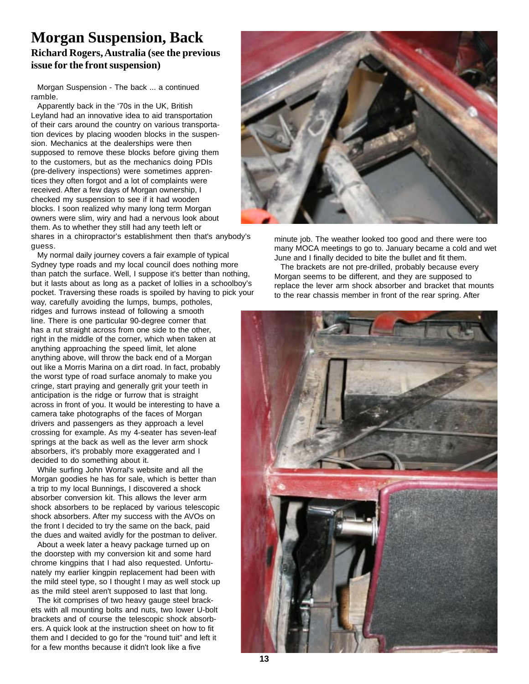## **Morgan Suspension, Back**

## **Richard Rogers, Australia (see the previous issue for the front suspension)**

Morgan Suspension - The back ... a continued ramble.

Apparently back in the '70s in the UK, British Leyland had an innovative idea to aid transportation of their cars around the country on various transportation devices by placing wooden blocks in the suspension. Mechanics at the dealerships were then supposed to remove these blocks before giving them to the customers, but as the mechanics doing PDIs (pre-delivery inspections) were sometimes apprentices they often forgot and a lot of complaints were received. After a few days of Morgan ownership, I checked my suspension to see if it had wooden blocks. I soon realized why many long term Morgan owners were slim, wiry and had a nervous look about them. As to whether they still had any teeth left or shares in a chiropractor's establishment then that's anybody's guess.

My normal daily journey covers a fair example of typical Sydney type roads and my local council does nothing more than patch the surface. Well, I suppose it's better than nothing, but it lasts about as long as a packet of lollies in a schoolboy's pocket. Traversing these roads is spoiled by having to pick your

way, carefully avoiding the lumps, bumps, potholes, ridges and furrows instead of following a smooth line. There is one particular 90-degree corner that has a rut straight across from one side to the other, right in the middle of the corner, which when taken at anything approaching the speed limit, let alone anything above, will throw the back end of a Morgan out like a Morris Marina on a dirt road. In fact, probably the worst type of road surface anomaly to make you cringe, start praying and generally grit your teeth in anticipation is the ridge or furrow that is straight across in front of you. It would be interesting to have a camera take photographs of the faces of Morgan drivers and passengers as they approach a level crossing for example. As my 4-seater has seven-leaf springs at the back as well as the lever arm shock absorbers, it's probably more exaggerated and I decided to do something about it.

While surfing John Worral's website and all the Morgan goodies he has for sale, which is better than a trip to my local Bunnings, I discovered a shock absorber conversion kit. This allows the lever arm shock absorbers to be replaced by various telescopic shock absorbers. After my success with the AVOs on the front I decided to try the same on the back, paid the dues and waited avidly for the postman to deliver.

About a week later a heavy package turned up on the doorstep with my conversion kit and some hard chrome kingpins that I had also requested. Unfortunately my earlier kingpin replacement had been with the mild steel type, so I thought I may as well stock up as the mild steel aren't supposed to last that long.

The kit comprises of two heavy gauge steel brackets with all mounting bolts and nuts, two lower U-bolt brackets and of course the telescopic shock absorbers. A quick look at the instruction sheet on how to fit them and I decided to go for the "round tuit" and left it for a few months because it didn't look like a five



minute job. The weather looked too good and there were too many MOCA meetings to go to. January became a cold and wet June and I finally decided to bite the bullet and fit them.

The brackets are not pre-drilled, probably because every Morgan seems to be different, and they are supposed to replace the lever arm shock absorber and bracket that mounts to the rear chassis member in front of the rear spring. After